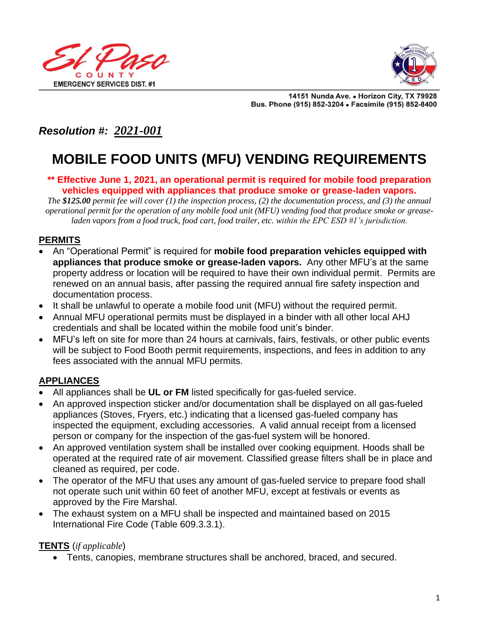



14151 Nunda Ave. . Horizon City, TX 79928 Bus. Phone (915) 852-3204 . Facsimile (915) 852-8400

# *Resolution #: 2021-001*

# **MOBILE FOOD UNITS (MFU) VENDING REQUIREMENTS**

#### **\*\* Effective June 1, 2021, an operational permit is required for mobile food preparation vehicles equipped with appliances that produce smoke or grease-laden vapors.**

*The \$125.00 permit fee will cover (1) the inspection process, (2) the documentation process, and (3) the annual operational permit for the operation of any mobile food unit (MFU) vending food that produce smoke or greaseladen vapors from a food truck, food cart, food trailer, etc. within the EPC ESD #1's jurisdiction.* 

#### **PERMITS**

- An "Operational Permit" is required for **mobile food preparation vehicles equipped with appliances that produce smoke or grease-laden vapors.** Any other MFU's at the same property address or location will be required to have their own individual permit. Permits are renewed on an annual basis, after passing the required annual fire safety inspection and documentation process.
- It shall be unlawful to operate a mobile food unit (MFU) without the required permit.
- Annual MFU operational permits must be displayed in a binder with all other local AHJ credentials and shall be located within the mobile food unit's binder.
- MFU's left on site for more than 24 hours at carnivals, fairs, festivals, or other public events will be subject to Food Booth permit requirements, inspections, and fees in addition to any fees associated with the annual MFU permits.

#### **APPLIANCES**

- All appliances shall be **UL or FM** listed specifically for gas-fueled service.
- An approved inspection sticker and/or documentation shall be displayed on all gas-fueled appliances (Stoves, Fryers, etc.) indicating that a licensed gas-fueled company has inspected the equipment, excluding accessories. A valid annual receipt from a licensed person or company for the inspection of the gas-fuel system will be honored.
- An approved ventilation system shall be installed over cooking equipment. Hoods shall be operated at the required rate of air movement. Classified grease filters shall be in place and cleaned as required, per code.
- The operator of the MFU that uses any amount of gas-fueled service to prepare food shall not operate such unit within 60 feet of another MFU, except at festivals or events as approved by the Fire Marshal.
- The exhaust system on a MFU shall be inspected and maintained based on 2015 International Fire Code (Table 609.3.3.1).

#### **TENTS** (*if applicable*)

• Tents, canopies, membrane structures shall be anchored, braced, and secured.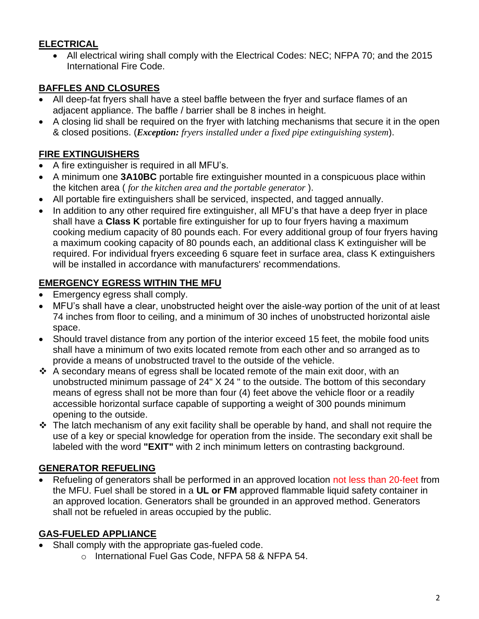# **ELECTRICAL**

• All electrical wiring shall comply with the Electrical Codes: NEC; NFPA 70; and the 2015 International Fire Code.

## **BAFFLES AND CLOSURES**

- All deep-fat fryers shall have a steel baffle between the fryer and surface flames of an adjacent appliance. The baffle / barrier shall be 8 inches in height.
- A closing lid shall be required on the fryer with latching mechanisms that secure it in the open & closed positions. (*Exception: fryers installed under a fixed pipe extinguishing system*).

#### **FIRE EXTINGUISHERS**

- A fire extinguisher is required in all MFU's.
- A minimum one **3A10BC** portable fire extinguisher mounted in a conspicuous place within the kitchen area ( *for the kitchen area and the portable generator* ).
- All portable fire extinguishers shall be serviced, inspected, and tagged annually.
- In addition to any other required fire extinguisher, all MFU's that have a deep fryer in place shall have a **Class K** portable fire extinguisher for up to four fryers having a maximum cooking medium capacity of 80 pounds each. For every additional group of four fryers having a maximum cooking capacity of 80 pounds each, an additional class K extinguisher will be required. For individual fryers exceeding 6 square feet in surface area, class K extinguishers will be installed in accordance with manufacturers' recommendations.

#### **EMERGENCY EGRESS WITHIN THE MFU**

- Emergency egress shall comply.
- MFU's shall have a clear, unobstructed height over the aisle-way portion of the unit of at least 74 inches from floor to ceiling, and a minimum of 30 inches of unobstructed horizontal aisle space.
- Should travel distance from any portion of the interior exceed 15 feet, the mobile food units shall have a minimum of two exits located remote from each other and so arranged as to provide a means of unobstructed travel to the outside of the vehicle.
- ❖ A secondary means of egress shall be located remote of the main exit door, with an unobstructed minimum passage of 24" X 24 " to the outside. The bottom of this secondary means of egress shall not be more than four (4) feet above the vehicle floor or a readily accessible horizontal surface capable of supporting a weight of 300 pounds minimum opening to the outside.
- ❖ The latch mechanism of any exit facility shall be operable by hand, and shall not require the use of a key or special knowledge for operation from the inside. The secondary exit shall be labeled with the word **"EXIT"** with 2 inch minimum letters on contrasting background.

#### **GENERATOR REFUELING**

Refueling of generators shall be performed in an approved location not less than 20-feet from the MFU. Fuel shall be stored in a **UL or FM** approved flammable liquid safety container in an approved location. Generators shall be grounded in an approved method. Generators shall not be refueled in areas occupied by the public.

#### **GAS-FUELED APPLIANCE**

- Shall comply with the appropriate gas-fueled code.
	- o International Fuel Gas Code, NFPA 58 & NFPA 54.